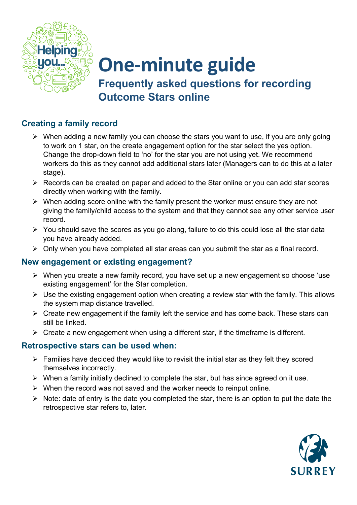

## **One-minute guide**

**Frequently asked questions for recording Outcome Stars online**

## **Creating a family record**

- $\triangleright$  When adding a new family you can choose the stars you want to use, if you are only going to work on 1 star, on the create engagement option for the star select the yes option. Change the drop-down field to 'no' for the star you are not using yet. We recommend workers do this as they cannot add additional stars later (Managers can to do this at a later stage).
- $\triangleright$  Records can be created on paper and added to the Star online or you can add star scores directly when working with the family.
- $\triangleright$  When adding score online with the family present the worker must ensure they are not giving the family/child access to the system and that they cannot see any other service user record.
- $\triangleright$  You should save the scores as you go along, failure to do this could lose all the star data you have already added.
- $\triangleright$  Only when you have completed all star areas can you submit the star as a final record.

## **New engagement or existing engagement?**

- When you create a new family record, you have set up a new engagement so choose 'use existing engagement' for the Star completion.
- $\triangleright$  Use the existing engagement option when creating a review star with the family. This allows the system map distance travelled.
- $\triangleright$  Create new engagement if the family left the service and has come back. These stars can still be linked.
- $\triangleright$  Create a new engagement when using a different star, if the timeframe is different.

## **Retrospective stars can be used when:**

- $\triangleright$  Families have decided they would like to revisit the initial star as they felt they scored themselves incorrectly.
- $\triangleright$  When a family initially declined to complete the star, but has since agreed on it use.
- $\triangleright$  When the record was not saved and the worker needs to reinput online.
- $\triangleright$  Note: date of entry is the date you completed the star, there is an option to put the date the retrospective star refers to, later.